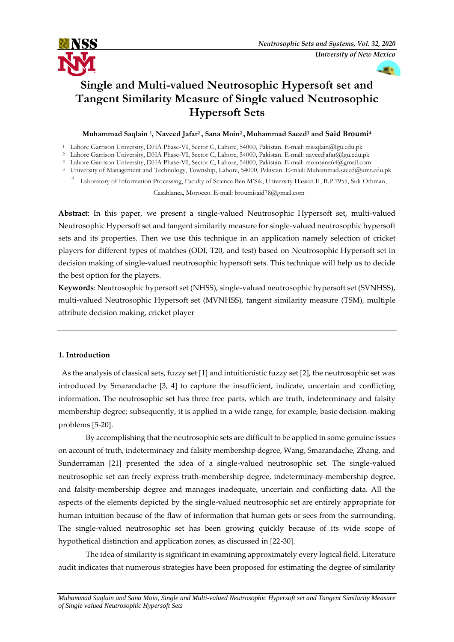

# **Single and Multi-valued Neutrosophic Hypersoft set and Tangent Similarity Measure of Single valued Neutrosophic Hypersoft Sets**

# **Muhammad Saqlain <sup>1</sup> , Naveed Jafar<sup>2</sup> , Sana Moin<sup>2</sup> , Muhammad Saeed<sup>3</sup> and Said Broumi<sup>4</sup>**

- <sup>1</sup> Lahore Garrison University, DHA Phase-VI, Sector C, Lahore, 54000, Pakistan. E-mail: msaqlain@lgu.edu.pk
- <sup>2</sup> Lahore Garrison University, DHA Phase-VI, Sector C, Lahore, 54000, Pakistan. E-mail: naveedjafar@lgu.edu.pk
- <sup>2</sup> Lahore Garrison University, DHA Phase-VI, Sector C, Lahore, 54000, Pakistan. E-mail: moinsana64@gmail.com
- <sup>3</sup> University of Management and Technology, Township, Lahore, 54000, Pakistan. E-mail: Muhammad.saeed@umt.edu.pk
	- <sup>4</sup>Laboratory of Information Processing, Faculty of Science Ben M'Sik, University Hassan II, B.P 7955, Sidi Othman,

Casablanca, Morocco. E-mail: [broumisaid78@gmail.com](mailto:broumisaid78@gmail.com)

**Abstract**: In this paper, we present a single-valued Neutrosophic Hypersoft set, multi-valued Neutrosophic Hypersoft set and tangent similarity measure for single-valued neutrosophic hypersoft sets and its properties. Then we use this technique in an application namely selection of cricket players for different types of matches (ODI, T20, and test) based on Neutrosophic Hypersoft set in decision making of single-valued neutrosophic hypersoft sets. This technique will help us to decide the best option for the players.

**Keywords**: Neutrosophic hypersoft set (NHSS), single-valued neutrosophic hypersoft set (SVNHSS), multi-valued Neutrosophic Hypersoft set (MVNHSS), tangent similarity measure (TSM), multiple attribute decision making, cricket player

# **1. Introduction**

As the analysis of classical sets, fuzzy set [1] and intuitionistic fuzzy set [2], the neutrosophic set was introduced by Smarandache [3, 4] to capture the insufficient, indicate, uncertain and conflicting information. The neutrosophic set has three free parts, which are truth, indeterminacy and falsity membership degree; subsequently, it is applied in a wide range, for example, basic decision-making problems [5-20].

By accomplishing that the neutrosophic sets are difficult to be applied in some genuine issues on account of truth, indeterminacy and falsity membership degree, Wang, Smarandache, Zhang, and Sunderraman [21] presented the idea of a single-valued neutrosophic set. The single-valued neutrosophic set can freely express truth-membership degree, indeterminacy-membership degree, and falsity-membership degree and manages inadequate, uncertain and conflicting data. All the aspects of the elements depicted by the single-valued neutrosophic set are entirely appropriate for human intuition because of the flaw of information that human gets or sees from the surrounding. The single-valued neutrosophic set has been growing quickly because of its wide scope of hypothetical distinction and application zones, as discussed in [22-30].

The idea of similarity is significant in examining approximately every logical field. Literature audit indicates that numerous strategies have been proposed for estimating the degree of similarity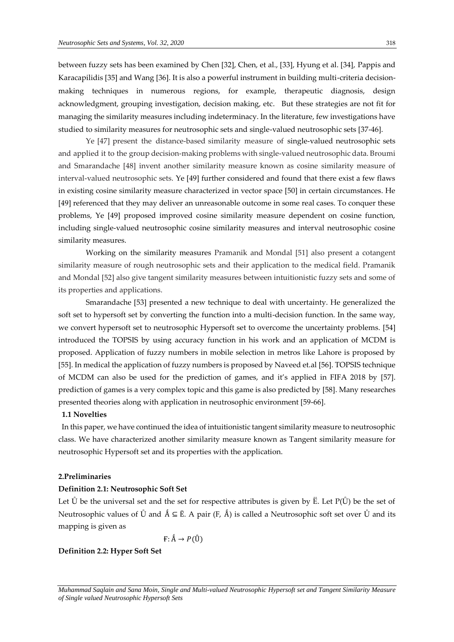between fuzzy sets has been examined by Chen [32], Chen, et al., [33], Hyung et al. [34], Pappis and Karacapilidis [35] and Wang [36]. It is also a powerful instrument in building multi-criteria decisionmaking techniques in numerous regions, for example, therapeutic diagnosis, design acknowledgment, grouping investigation, decision making, etc. But these strategies are not fit for managing the similarity measures including indeterminacy. In the literature, few investigations have studied to similarity measures for neutrosophic sets and single-valued neutrosophic sets [37-46].

Ye [47] present the distance-based similarity measure of single-valued neutrosophic sets and applied it to the group decision-making problems with single-valued neutrosophic data. Broumi and Smarandache [48] invent another similarity measure known as cosine similarity measure of interval-valued neutrosophic sets. Ye [49] further considered and found that there exist a few flaws in existing cosine similarity measure characterized in vector space [50] in certain circumstances. He [49] referenced that they may deliver an unreasonable outcome in some real cases. To conquer these problems, Ye [49] proposed improved cosine similarity measure dependent on cosine function, including single-valued neutrosophic cosine similarity measures and interval neutrosophic cosine similarity measures.

Working on the similarity measures Pramanik and Mondal [51] also present a cotangent similarity measure of rough neutrosophic sets and their application to the medical field. Pramanik and Mondal [52] also give tangent similarity measures between intuitionistic fuzzy sets and some of its properties and applications.

Smarandache [53] presented a new technique to deal with uncertainty. He generalized the soft set to hypersoft set by converting the function into a multi-decision function. In the same way, we convert hypersoft set to neutrosophic Hypersoft set to overcome the uncertainty problems. [54] introduced the TOPSIS by using accuracy function in his work and an application of MCDM is proposed. Application of fuzzy numbers in mobile selection in metros like Lahore is proposed by [55]. In medical the application of fuzzy numbers is proposed by Naveed et.al [56]. TOPSIS technique of MCDM can also be used for the prediction of games, and it's applied in FIFA 2018 by [57]. prediction of games is a very complex topic and this game is also predicted by [58]. Many researches presented theories along with application in neutrosophic environment [59-66].

## **1.1 Novelties**

In this paper, we have continued the idea of intuitionistic tangent similarity measure to neutrosophic class. We have characterized another similarity measure known as Tangent similarity measure for neutrosophic Hypersoft set and its properties with the application.

#### **2.Preliminaries**

#### **Definition 2.1: Neutrosophic Soft Set**

Let  $\check{U}$  be the universal set and the set for respective attributes is given by  $\check{E}$ . Let  $P(\check{U})$  be the set of Neutrosophic values of  $\check{U}$  and  $\hat{A} \subseteq \check{E}$ . A pair (F,  $\hat{A}$ ) is called a Neutrosophic soft set over  $\check{U}$  and its mapping is given as

$$
F: \mathbb{A} \to P(\mathbb{U})
$$

**Definition 2.2: Hyper Soft Set**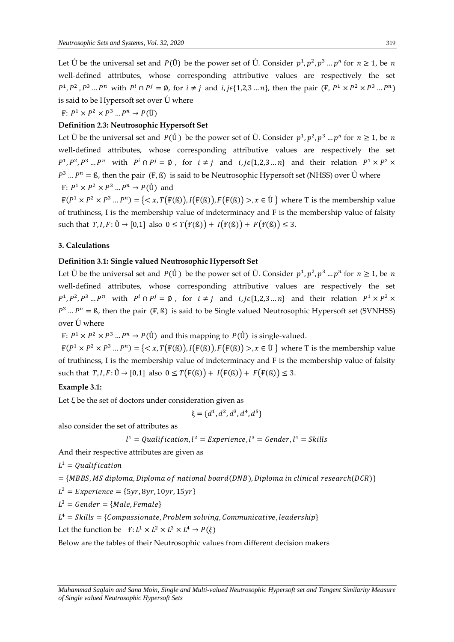Let  $\mathring{U}$  be the universal set and  $P(\mathring{U})$  be the power set of  $\mathring{U}$ . Consider  $p^1, p^2, p^3 \dots p^n$  for  $n \ge 1$ , be n well-defined attributes, whose corresponding attributive values are respectively the set  $P^1, P^2, P^3, \ldots P^n$  with  $P^i \cap P^j = \emptyset$ , for  $i \neq j$  and  $i, j \in \{1, 2, 3, \ldots n\}$ , then the pair  $(\mathbb{F}, P^1 \times P^2 \times P^3, \ldots P^n)$ is said to be Hypersoft set over Ů where

 $\mathbb{F}$ :  $P^1 \times P^2 \times P^3 ... P^n \rightarrow P(\mathring{U})$ 

# **Definition 2.3: Neutrosophic Hypersoft Set**

Let  $\mathring{U}$  be the universal set and  $P(\mathring{U})$  be the power set of  $\mathring{U}$ . Consider  $p^1, p^2, p^3 \dots p^n$  for  $n \ge 1$ , be n well-defined attributes, whose corresponding attributive values are respectively the set  $P^1, P^2, P^3, \ldots, P^n$  with  $P^i \cap P^j = \emptyset$ , for  $i \neq j$  and  $i, j \in \{1, 2, 3, \ldots, n\}$  and their relation  $P^1 \times P^2 \times P^2$  $P^3$  ...  $P^n =$  ß, then the pair (F, ß) is said to be Neutrosophic Hypersoft set (NHSS) over  $\dot{\mathbf{U}}$  where F:  $P^1 \times P^2 \times P^3 \dots P^n \rightarrow P(\mathring{U})$  and

 $F(P^1 \times P^2 \times P^3 ... P^n) = \{ \langle x, T(F(\mathcal{B})), I(F(\mathcal{B})), F(F(\mathcal{B})) \rangle, x \in \mathring{U} \}$  where T is the membership value of truthiness, I is the membership value of indeterminacy and F is the membership value of falsity such that  $T, I, F: \mathring{U} \to [0,1]$  also  $0 \leq T(F(\mathcal{B})) + I(F(\mathcal{B})) + F(F(\mathcal{B})) \leq 3$ .

# **3. Calculations**

# **Definition 3.1: Single valued Neutrosophic Hypersoft Set**

Let  $\mathring{U}$  be the universal set and  $P(\mathring{U})$  be the power set of  $\mathring{U}$ . Consider  $p^1, p^2, p^3 \dots p^n$  for  $n \ge 1$ , be n well-defined attributes, whose corresponding attributive values are respectively the set  $P^1, P^2, P^3, \ldots, P^n$  with  $P^i \cap P^j = \emptyset$ , for  $i \neq j$  and  $i, j \in \{1, 2, 3, \ldots, n\}$  and their relation  $P^1 \times P^2 \times P^2$  $P^3$  ...  $P^n =$  ß, then the pair (F, ß) is said to be Single valued Neutrosophic Hypersoft set (SVNHSS) over Ů where

F:  $P^1 \times P^2 \times P^3$  ...  $P^n \to P(\mathring{U})$  and this mapping to  $P(\mathring{U})$  is single-valued.

 $F(P^1 \times P^2 \times P^3 ... P^n) = \{ \langle x, T(F(\mathbb{S})), I(F(\mathbb{S})), F(F(\mathbb{S})) \rangle, x \in \mathbb{U} \}$  where T is the membership value of truthiness, I is the membership value of indeterminacy and F is the membership value of falsity such that  $T, I, F: \mathring{U} \to [0,1]$  also  $0 \leq T(F(\mathcal{B})) + I(F(\mathcal{B})) + F(F(\mathcal{B})) \leq 3$ .

# **Example 3.1:**

Let  $\xi$  be the set of doctors under consideration given as

$$
\xi = \{d^1, d^2, d^3, d^4, d^5\}
$$

also consider the set of attributes as

$$
l^1 =
$$
 Qualification,  $l^2 =$  Experience,  $l^3 =$  Generate,  $l^4 =$  Skills

And their respective attributes are given as

 $L^1 = Qualification$ 

$$
= {MBBS, MS\,diploma, Diploma\,of\,national\,board(DNB), Diploma\,in\,clinical\,reseach(DCR)}
$$

 $L^2 = Experience = {5yr, 8yr, 10yr, 15yr}$ 

$$
L^3 = \text{Gender} = \{\text{Male}, \text{Female}\}
$$

 $L^4 = Skills = \{Compassionate, Problem solving, Communicative, leadership\}$ 

Let the function be  $\mathbf{F}: L^1 \times L^2 \times L^3 \times L^4 \to P(\xi)$ 

Below are the tables of their Neutrosophic values from different decision makers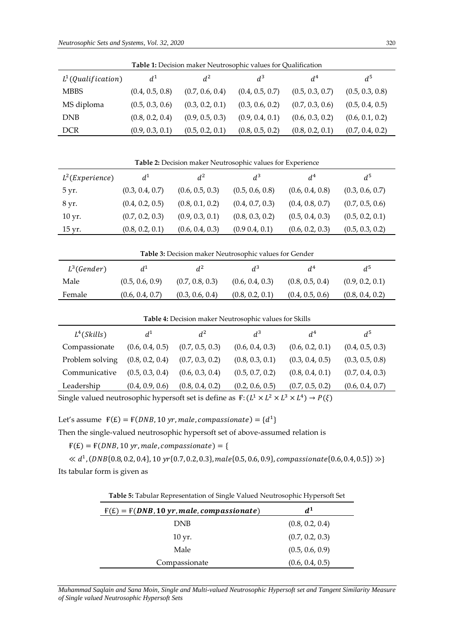| <b>Table 1:</b> Decision maker Neutrosophic values for Qualification |                 |                 |                 |                 |                 |  |
|----------------------------------------------------------------------|-----------------|-----------------|-----------------|-----------------|-----------------|--|
| $L^1(Qualification)$                                                 | $d^1$           | $d^2$           | $d^3$           | $d^4$           | $d^5$           |  |
| <b>MBBS</b>                                                          | (0.4, 0.5, 0.8) | (0.7, 0.6, 0.4) | (0.4, 0.5, 0.7) | (0.5, 0.3, 0.7) | (0.5, 0.3, 0.8) |  |
| MS diploma                                                           | (0.5, 0.3, 0.6) | (0.3, 0.2, 0.1) | (0.3, 0.6, 0.2) | (0.7, 0.3, 0.6) | (0.5, 0.4, 0.5) |  |
| <b>DNB</b>                                                           | (0.8, 0.2, 0.4) | (0.9, 0.5, 0.3) | (0.9, 0.4, 0.1) | (0.6, 0.3, 0.2) | (0.6, 0.1, 0.2) |  |
| <b>DCR</b>                                                           | (0.9, 0.3, 0.1) | (0.5, 0.2, 0.1) | (0.8, 0.5, 0.2) | (0.8, 0.2, 0.1) | (0.7, 0.4, 0.2) |  |

**Table 2:** Decision maker Neutrosophic values for Experience

| $L^2$ (Experience) | $d^1$           | $d^2$           | $d^3$           | $d^4$           | d <sup>5</sup>  |
|--------------------|-----------------|-----------------|-----------------|-----------------|-----------------|
| 5 yr.              | (0.3, 0.4, 0.7) | (0.6, 0.5, 0.3) | (0.5, 0.6, 0.8) | (0.6, 0.4, 0.8) | (0.3, 0.6, 0.7) |
| 8 yr.              | (0.4, 0.2, 0.5) | (0.8, 0.1, 0.2) | (0.4, 0.7, 0.3) | (0.4, 0.8, 0.7) | (0.7, 0.5, 0.6) |
| $10 \,\text{yr}$ . | (0.7, 0.2, 0.3) | (0.9, 0.3, 0.1) | (0.8, 0.3, 0.2) | (0.5, 0.4, 0.3) | (0.5, 0.2, 0.1) |
| 15 yr.             | (0.8, 0.2, 0.1) | (0.6, 0.4, 0.3) | (0.9 0.4, 0.1)  | (0.6, 0.2, 0.3) | (0.5, 0.3, 0.2) |

| <b>Table 3:</b> Decision maker Neutrosophic values for Gender |                 |                 |                 |                 |                 |  |
|---------------------------------------------------------------|-----------------|-----------------|-----------------|-----------------|-----------------|--|
| $L^3(Gender)$                                                 | $d^1$           | $d^2$           | $d^3$           | d <sup>4</sup>  | $d^5$           |  |
| Male                                                          | (0.5, 0.6, 0.9) | (0.7, 0.8, 0.3) | (0.6, 0.4, 0.3) | (0.8, 0.5, 0.4) | (0.9, 0.2, 0.1) |  |
| Female                                                        | (0.6, 0.4, 0.7) | (0.3, 0.6, 0.4) | (0.8, 0.2, 0.1) | (0.4, 0.5, 0.6) | (0.8, 0.4, 0.2) |  |

**Table 4:** Decision maker Neutrosophic values for Skills

| $L^4(Skills)$   | $d^1$           | $d^2$           | $d^3$           | d <sup>4</sup>  | d <sup>5</sup>  |
|-----------------|-----------------|-----------------|-----------------|-----------------|-----------------|
| Compassionate   | (0.6, 0.4, 0.5) | (0.7, 0.5, 0.3) | (0.6, 0.4, 0.3) | (0.6, 0.2, 0.1) | (0.4, 0.5, 0.3) |
| Problem solving | (0.8, 0.2, 0.4) | (0.7, 0.3, 0.2) | (0.8, 0.3, 0.1) | (0.3, 0.4, 0.5) | (0.3, 0.5, 0.8) |
| Communicative   | (0.5, 0.3, 0.4) | (0.6, 0.3, 0.4) | (0.5, 0.7, 0.2) | (0.8, 0.4, 0.1) | (0.7, 0.4, 0.3) |
| Leadership      | (0.4, 0.9, 0.6) | (0.8, 0.4, 0.2) | (0.2, 0.6, 0.5) | (0.7, 0.5, 0.2) | (0.6, 0.4, 0.7) |

Single valued neutrosophic hypersoft set is define as  $F: (L^1 \times L^2 \times L^3 \times L^4) \to P(\xi)$ 

Let's assume  $\mathbf{F}(\mathbf{E}) = \mathbf{F}(DNB, 10 \text{ yr}, male, companies in a) = \{d^1\}$ 

Then the single-valued neutrosophic hypersoft set of above-assumed relation is

 $F(E) = F(DNB, 10 yr, male, companies in the) = \{$ 

 $\ll d^{1}$ , (DNB{0.8, 0.2, 0.4}, 10 yr{0.7, 0.2, 0.3}, male{0.5, 0.6, 0.9}, compassionate{0.6, 0.4, 0.5})  $\gg$ } Its tabular form is given as

| Table 5: Tabular Representation of Single Valued Neutrosophic Hypersoft Set |  |
|-----------------------------------------------------------------------------|--|
|                                                                             |  |

| $F(E) = F(DNB, 10 yr, male, companies in the)$ | $d^1$           |
|------------------------------------------------|-----------------|
| <b>DNB</b>                                     | (0.8, 0.2, 0.4) |
| $10 \,\mathrm{yr}$ .                           | (0.7, 0.2, 0.3) |
| Male                                           | (0.5, 0.6, 0.9) |
| Compassionate                                  | (0.6, 0.4, 0.5) |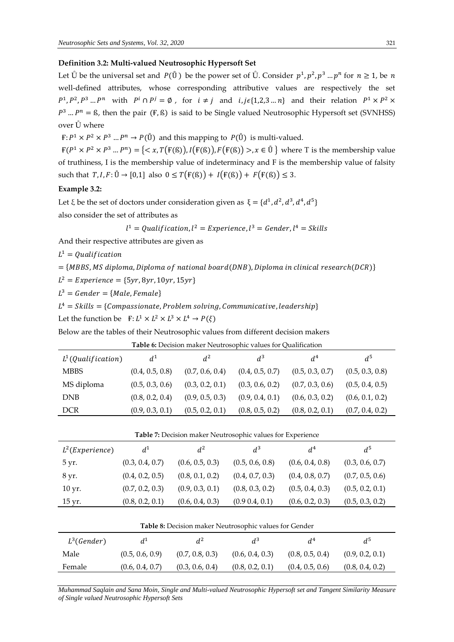# **Definition 3.2: Multi-valued Neutrosophic Hypersoft Set**

Let  $\mathring{U}$  be the universal set and  $P(\mathring{U})$  be the power set of  $\mathring{U}$ . Consider  $p^1, p^2, p^3 \dots p^n$  for  $n \ge 1$ , be n well-defined attributes, whose corresponding attributive values are respectively the set  $P^1, P^2, P^3, \ldots, P^n$  with  $P^i \cap P^j = \emptyset$ , for  $i \neq j$  and  $i, j \in \{1, 2, 3, \ldots, n\}$  and their relation  $P^1 \times P^2 \times P^2$  $P^3$  ...  $P^n =$  ß, then the pair (F, ß) is said to be Single valued Neutrosophic Hypersoft set (SVNHSS) over Ů where

 $F: P^1 \times P^2 \times P^3 ... P^n \to P(\mathring{U})$  and this mapping to  $P(\mathring{U})$  is multi-valued.

 $F(P^1 \times P^2 \times P^3 ... P^n) = \{ \langle x, T(F(\mathbb{S})), I(F(\mathbb{S})), F(F(\mathbb{S})) \rangle, x \in \mathbb{U} \}$  where T is the membership value of truthiness, I is the membership value of indeterminacy and F is the membership value of falsity such that  $T, I, F: \mathring{U} \to [0,1]$  also  $0 \leq T(F(\mathcal{B})) + I(F(\mathcal{B})) + F(F(\mathcal{B})) \leq 3$ .

# **Example 3.2:**

Let  $\xi$  be the set of doctors under consideration given as  $\xi = \{d^1, d^2, d^3, d^4, d^5\}$ also consider the set of attributes as

$$
l^1 = Qualification, l^2 = Experience, l^3 = gender, l^4 = Skills
$$

And their respective attributes are given as

 $L^1 = Qualification$ 

 $=$  {MBBS, MS diploma, Diploma of national board(DNB), Diploma in clinical research(DCR)}

 $L^2 = Experience = {5yr, 8yr, 10yr, 15yr}$ 

 $L^3 = \text{Gender} = \{\text{Male}, \text{Female}\}$ 

 $L^4 = Skills = \{Compassionate, Problem solving, Communicative, leadership\}$ 

Let the function be  $\quad \mathbf{F}: L^1 \times L^2 \times L^3 \times L^4 \to P(\xi)$ 

Below are the tables of their Neutrosophic values from different decision makers

| <b>Table 6:</b> Decision maker Neutrosophic values for Qualification |                 |                 |                 |                 |                 |  |
|----------------------------------------------------------------------|-----------------|-----------------|-----------------|-----------------|-----------------|--|
| $L^1(Qualification)$                                                 | $d^1$           | $d^2$           | $d^3$           | $d^4$           | d <sup>5</sup>  |  |
| <b>MBBS</b>                                                          | (0.4, 0.5, 0.8) | (0.7, 0.6, 0.4) | (0.4, 0.5, 0.7) | (0.5, 0.3, 0.7) | (0.5, 0.3, 0.8) |  |
| MS diploma                                                           | (0.5, 0.3, 0.6) | (0.3, 0.2, 0.1) | (0.3, 0.6, 0.2) | (0.7, 0.3, 0.6) | (0.5, 0.4, 0.5) |  |
| <b>DNB</b>                                                           | (0.8, 0.2, 0.4) | (0.9, 0.5, 0.3) | (0.9, 0.4, 0.1) | (0.6, 0.3, 0.2) | (0.6, 0.1, 0.2) |  |
| <b>DCR</b>                                                           | (0.9, 0.3, 0.1) | (0.5, 0.2, 0.1) | (0.8, 0.5, 0.2) | (0.8, 0.2, 0.1) | (0.7, 0.4, 0.2) |  |

| <b>Table 7:</b> Decision maker Neutrosophic values for Experience |                 |                 |                 |                 |                 |
|-------------------------------------------------------------------|-----------------|-----------------|-----------------|-----------------|-----------------|
| $L^2$ (Experience)                                                | $d^1$           | $d^2$           | $d^3$           | d <sup>4</sup>  | d <sup>5</sup>  |
| 5 yr.                                                             | (0.3, 0.4, 0.7) | (0.6, 0.5, 0.3) | (0.5, 0.6, 0.8) | (0.6, 0.4, 0.8) | (0.3, 0.6, 0.7) |
| 8 yr.                                                             | (0.4, 0.2, 0.5) | (0.8, 0.1, 0.2) | (0.4, 0.7, 0.3) | (0.4, 0.8, 0.7) | (0.7, 0.5, 0.6) |
| $10 \,\mathrm{yr}$ .                                              | (0.7, 0.2, 0.3) | (0.9, 0.3, 0.1) | (0.8, 0.3, 0.2) | (0.5, 0.4, 0.3) | (0.5, 0.2, 0.1) |
| 15 yr.                                                            | (0.8, 0.2, 0.1) | (0.6, 0.4, 0.3) | (0.9 0.4, 0.1)  | (0.6, 0.2, 0.3) | (0.5, 0.3, 0.2) |
|                                                                   |                 |                 |                 |                 |                 |

| Table 8: Decision maker Neutrosophic values for Gender |                 |                 |                 |                 |                 |  |
|--------------------------------------------------------|-----------------|-----------------|-----------------|-----------------|-----------------|--|
| $L^3(Gender)$                                          | $d^{\perp}$     | $d^2$           | $d^3$           | d <sup>4</sup>  | $d^5$           |  |
| Male                                                   | (0.5, 0.6, 0.9) | (0.7, 0.8, 0.3) | (0.6, 0.4, 0.3) | (0.8, 0.5, 0.4) | (0.9, 0.2, 0.1) |  |
| Female                                                 | (0.6, 0.4, 0.7) | (0.3, 0.6, 0.4) | (0.8, 0.2, 0.1) | (0.4, 0.5, 0.6) | (0.8, 0.4, 0.2) |  |
|                                                        |                 |                 |                 |                 |                 |  |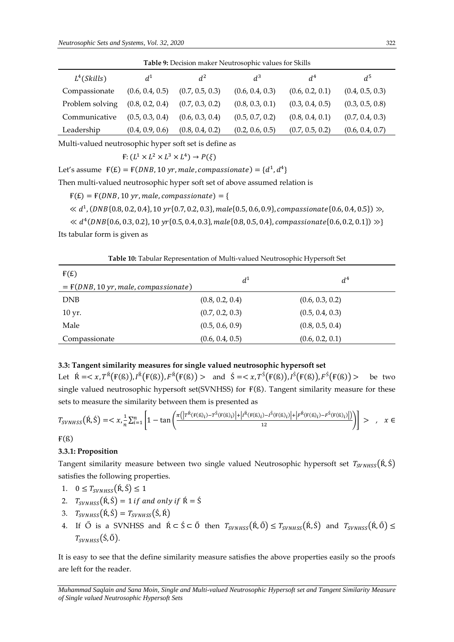| <b>Table 9:</b> Decision maker Neutrosophic values for Skills |                 |                 |                 |                 |                 |
|---------------------------------------------------------------|-----------------|-----------------|-----------------|-----------------|-----------------|
| $L^4(Skills)$                                                 | $d^1$           | $d^2$           | $d^3$           | d <sup>4</sup>  | d <sup>5</sup>  |
| Compassionate                                                 | (0.6, 0.4, 0.5) | (0.7, 0.5, 0.3) | (0.6, 0.4, 0.3) | (0.6, 0.2, 0.1) | (0.4, 0.5, 0.3) |
| Problem solving                                               | (0.8, 0.2, 0.4) | (0.7, 0.3, 0.2) | (0.8, 0.3, 0.1) | (0.3, 0.4, 0.5) | (0.3, 0.5, 0.8) |
| Communicative                                                 | (0.5, 0.3, 0.4) | (0.6, 0.3, 0.4) | (0.5, 0.7, 0.2) | (0.8, 0.4, 0.1) | (0.7, 0.4, 0.3) |
| Leadership                                                    | (0.4, 0.9, 0.6) | (0.8, 0.4, 0.2) | (0.2, 0.6, 0.5) | (0.7, 0.5, 0.2) | (0.6, 0.4, 0.7) |

Multi-valued neutrosophic hyper soft set is define as

$$
F: (L^1 \times L^2 \times L^3 \times L^4) \to P(\xi)
$$

Let's assume  $F(E) = F(DNB, 10 \text{ yr}, male, companies ionate) = \{d^1, d^4\}$ 

Then multi-valued neutrosophic hyper soft set of above assumed relation is

 $F(E) = F(DNB, 10 yr, male, companies in the) = \{$ 

 $\ll d^{1}$ , (DNB{0.8, 0.2, 0.4}, 10 yr{0.7, 0.2, 0.3}, male{0.5, 0.6, 0.9}, compassionate{0.6, 0.4, 0.5})  $\gg$ ,

 $\ll d^4(DNB\{0.6, 0.3, 0.2\}, 10 \text{ yr}\{0.5, 0.4, 0.3\}, male\{0.8, 0.5, 0.4\}, companies ionate\{0.6, 0.2, 0.1\})$  >>} Its tabular form is given as

**Table 10:** Tabular Representation of Multi-valued Neutrosophic Hypersoft Set

| F(E)                                   | $d^1$           | $d^4$           |
|----------------------------------------|-----------------|-----------------|
| $= F(DNB, 10 yr, male, compassionate)$ |                 |                 |
| <b>DNB</b>                             | (0.8, 0.2, 0.4) | (0.6, 0.3, 0.2) |
| $10 \,\text{yr}$ .                     | (0.7, 0.2, 0.3) | (0.5, 0.4, 0.3) |
| Male                                   | (0.5, 0.6, 0.9) | (0.8, 0.5, 0.4) |
| Compassionate                          | (0.6, 0.4, 0.5) | (0.6, 0.2, 0.1) |

#### **3.3: Tangent similarity measures for single valued neutrosophic hypersoft set**

Let  $\mathbf{\hat{R}} = \langle x, T^{\hat{\mathbf{R}}}(\mathbf{F}(\mathbf{S})), I^{\hat{\mathbf{R}}}(\mathbf{F}(\mathbf{S})), F^{\hat{\mathbf{R}}}(\mathbf{F}(\mathbf{S})) > \text{ and } \hat{S} = \langle x, T^{\hat{\mathbf{S}}}(\mathbf{F}(\mathbf{S})), I^{\hat{\mathbf{S}}}(\mathbf{F}(\mathbf{S})), F^{\hat{\mathbf{S}}}(\mathbf{F}(\mathbf{S})) > \text{ be two}$ single valued neutrosophic hypersoft set(SVNHSS) for  $F(S)$ . Tangent similarity measure for these sets to measure the similarity between them is presented as

$$
T_{SVNHSS}(\hat{\mathbf{R}},\hat{\mathbf{S}}) = \langle x, \frac{1}{n} \sum_{i=1}^{n} \left[ 1 - \tan \left( \frac{\pi (|T^{\hat{\mathbf{R}}}(\mathbf{F}(\mathbf{S})_i) - T^{\hat{\mathbf{S}}}(\mathbf{F}(\mathbf{S})_i)| + |I^{\hat{\mathbf{R}}}(\mathbf{F}(\mathbf{S})_i) - T^{\hat{\mathbf{S}}}(\mathbf{F}(\mathbf{S})_i)| + |F^{\hat{\mathbf{R}}}(\mathbf{F}(\mathbf{S})_i) - F^{\hat{\mathbf{S}}}(\mathbf{F}(\mathbf{S})_i)|)}{12} \right) \right] > \quad , \quad x \in
$$

 $F(S)$ 

#### **3.3.1: Proposition**

Tangent similarity measure between two single valued Neutrosophic hypersoft set  $T_{SVMHS}(\hat{R}, \hat{S})$ satisfies the following properties.

1. 
$$
0 \leq T_{SVNHSS}(\hat{\mathbf{R}}, \hat{\mathbf{S}}) \leq 1
$$

- 2.  $T_{SVMISS}(\hat{R}, \hat{S}) = 1$  if and only if  $\hat{R} = \hat{S}$
- 3.  $T_{SVNHSS}(\hat{R}, \hat{S}) = T_{SVNHSS}(\hat{S}, \hat{R})$
- 4. If  $\tilde{O}$  is a SVNHSS and  $\hat{R} \subset \hat{S} \subset \tilde{O}$  then  $T_{SVMSS}(\hat{R}, \hat{O}) \leq T_{SVMISS}(\hat{R}, \hat{S})$  and  $T_{SVMISS}(\hat{R}, \hat{O}) \leq$  $T_{SVNHSS}(\dot{S}, \ddot{O}).$

It is easy to see that the define similarity measure satisfies the above properties easily so the proofs are left for the reader.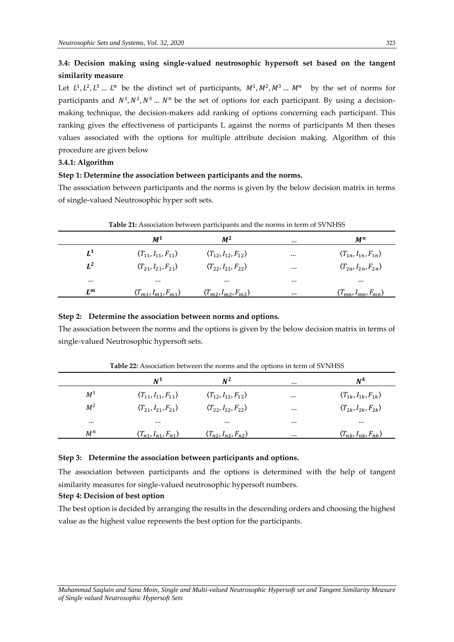# **3.4: Decision making using single-valued neutrosophic hypersoft set based on the tangent similarity measure**

Let  $L^1, L^2, L^3, \ldots, L^n$  be the distinct set of participants,  $M^1, M^2, M^3, \ldots, M^n$  by the set of norms for participants and  $N^1, N^2, N^3, \ldots, N^n$  be the set of options for each participant. By using a decisionmaking technique, the decision-makers add ranking of options concerning each participant. This ranking gives the effectiveness of participants L against the norms of participants M then theses values associated with the options for multiple attribute decision making. Algorithm of this procedure are given below

### **3.4.1: Algorithm**

#### **Step 1: Determine the association between participants and the norms.**

The association between participants and the norms is given by the below decision matrix in terms of single-valued Neutrosophic hyper soft sets.

|          | M <sup>1</sup>                           | $M^2$                                    |          | $M^n$                                    |
|----------|------------------------------------------|------------------------------------------|----------|------------------------------------------|
| $L^1$    | $\langle T_{11}, I_{11}, F_{11} \rangle$ | $\langle T_{12}, I_{12}, F_{12} \rangle$ | $\cdots$ | $\langle T_{1n}, I_{1n}, F_{1n} \rangle$ |
| $L^2$    | $\langle T_{21}, I_{21}, F_{21} \rangle$ | $\langle T_{22}, I_{22}, F_{22} \rangle$ | $\cdots$ | $\langle T_{2n}, I_{2n}, F_{2n} \rangle$ |
| $\cdots$ | $\cdots$                                 | $\cdots$                                 | $\cdots$ | $\cdots$                                 |
| $L^m$    | $\langle T_{m1}, I_{m1}, F_{m1} \rangle$ | $\langle T_{m2}, I_{m2}, F_{m2} \rangle$ | $\cdots$ | $\langle T_{mn}, I_{mn}, F_{mn} \rangle$ |

#### **Table 21:** Association between participants and the norms in term of SVNHSS

#### **Step 2: Determine the association between norms and options.**

The association between the norms and the options is given by the below decision matrix in terms of single-valued Neutrosophic hypersoft sets.

|          | $\mathbf{N}^{\mathbf{1}}$                | $N^2$                                    |          | Ν <sup>k</sup>                           |
|----------|------------------------------------------|------------------------------------------|----------|------------------------------------------|
| $M^1$    | $\langle T_{11}, I_{11}, F_{11} \rangle$ | $\langle T_{12}, I_{12}, F_{12} \rangle$ | $\cdots$ | $\langle T_{1k}, I_{1k}, F_{1k} \rangle$ |
| $M^2$    | $\langle T_{21}, I_{21}, F_{21} \rangle$ | $\langle T_{22}, I_{22}, F_{22} \rangle$ | $\cdots$ | $\langle T_{2k}, I_{2k}, F_{2k} \rangle$ |
| $\cdots$ | $\cdots$                                 |                                          | $\cdots$ | $\cdots$                                 |
| $M^n$    | $\langle T_{n1}, I_{n1}, F_{n1} \rangle$ | $\langle T_{n2}, I_{n2}, F_{n2} \rangle$ | $\cdots$ | $\langle T_{nk}, I_{nk}, F_{nk} \rangle$ |

**Table 22:** Association between the norms and the options in term of SVNHSS

#### **Step 3: Determine the association between participants and options.**

The association between participants and the options is determined with the help of tangent similarity measures for single-valued neutrosophic hypersoft numbers.

#### **Step 4: Decision of best option**

The best option is decided by arranging the results in the descending orders and choosing the highest value as the highest value represents the best option for the participants.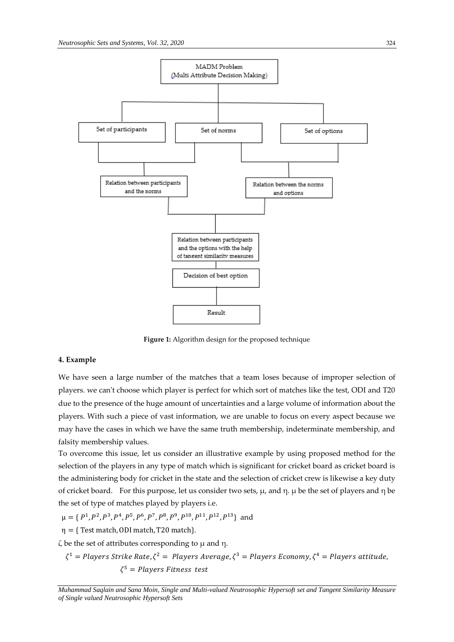

**Figure 1:** Algorithm design for the proposed technique

#### **4. Example**

We have seen a large number of the matches that a team loses because of improper selection of players. we can't choose which player is perfect for which sort of matches like the test, ODI and T20 due to the presence of the huge amount of uncertainties and a large volume of information about the players. With such a piece of vast information, we are unable to focus on every aspect because we may have the cases in which we have the same truth membership, indeterminate membership, and falsity membership values.

To overcome this issue, let us consider an illustrative example by using proposed method for the selection of the players in any type of match which is significant for cricket board as cricket board is the administering body for cricket in the state and the selection of cricket crew is likewise a key duty of cricket board. For this purpose, let us consider two sets, μ, and η. μ be the set of players and η be the set of type of matches played by players i.e.

$$
\mu = \{P^1, P^2, P^3, P^4, P^5, P^6, P^7, P^8, P^9, P^{10}, P^{11}, P^{12}, P^{13}\}
$$
 and

 $\eta = \{$  Test match, ODI match, T20 match $\}$ .

ζ be the set of attributes corresponding to μ and η.

 $\zeta^1 =$  Players Strike Rate, $\zeta^2 =$  Players Average,  $\zeta^3 =$  Players Economy,  $\zeta^4 =$  Players attitude,  $\zeta^5$  = Players Fitness test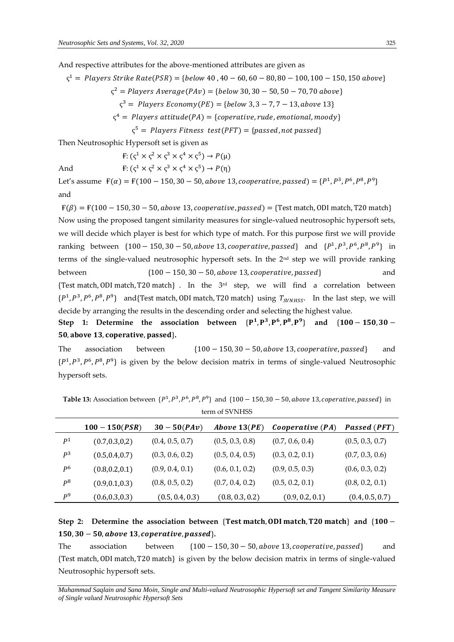And respective attributes for the above-mentioned attributes are given as

 $\zeta^1$  = Players Strike Rate(PSR) = {below 40, 40 – 60, 60 – 80, 80 – 100, 100 – 150, 150 above}

 $\varsigma^2 =$  Players Average(PAv) = {below 30, 30 – 50, 50 – 70, 70 above}

 $\varsigma^3$  = Players Economy(PE) = {below 3, 3 – 7, 7 – 13, above 13}

 $\varsigma^4$  = Players attitude(PA) = {coperative, rude, emotional, moody}

 $\varsigma^5 =$  Players Fitness test(PFT) = {passed,not passed}

Then Neutrosophic Hypersoft set is given as

And

$$
F: (\varsigma^1 \times \varsigma^2 \times \varsigma^3 \times \varsigma^4 \times \varsigma^5) \to P(\mu)
$$
  

$$
F: (\varsigma^1 \times \varsigma^2 \times \varsigma^3 \times \varsigma^4 \times \varsigma^5) \to P(\eta)
$$

Let's assume  $F(\alpha) = F(100 - 150, 30 - 50, above 13, cooperative, passed) = {P<sup>1</sup>, P<sup>3</sup>, P<sup>6</sup>, P<sup>8</sup>, P<sup>9</sup>}$ and

 $F(\beta) = F(100 - 150, 30 - 50, above 13, cooperative, passed) =$ {Test match, ODI match, T20 match} Now using the proposed tangent similarity measures for single-valued neutrosophic hypersoft sets, we will decide which player is best for which type of match. For this purpose first we will provide ranking between  $\{100 - 150, 30 - 50, above 13, cooperative, passed\}$  and  $\{P^1, P^3, P^6, P^8, P^9\}$  in terms of the single-valued neutrosophic hypersoft sets. In the 2nd step we will provide ranking between  ${100 - 150, 30 - 50, above 13, cooperative, passed}$  and {Test match, ODI match, T20 match} . In the 3rd step, we will find a correlation between  $\{P^1, P^3, P^6, P^8, P^9\}$  and {Test match, 0DI match, T20 match} using  $T_{SVMISS}$ . In the last step, we will decide by arranging the results in the descending order and selecting the highest value.

Step 1: Determine the association between  $\{P^1, P^3, P^6, P^8, P^9\}$  and  $\{100 - 150, 30 -$ 50, above 13, coperative, passed}.

The association between  $\{100 - 150, 30 - 50, above 13, cooperative, passed\}$  and  $\{P^1, P^3, P^6, P^8, P^9\}$  is given by the below decision matrix in terms of single-valued Neutrosophic hypersoft sets.

|                | $100 - 150(PSR)$ | $30 - 50(PAv)$  | Above $13(PE)$  | Cooperative $(PA)$ | <b>Passed (PFT)</b> |
|----------------|------------------|-----------------|-----------------|--------------------|---------------------|
| P <sup>1</sup> | (0.7, 0.3, 0.2)  | (0.4, 0.5, 0.7) | (0.5, 0.3, 0.8) | (0.7, 0.6, 0.4)    | (0.5, 0.3, 0.7)     |
| P <sup>3</sup> | (0.5, 0.4, 0.7)  | (0.3, 0.6, 0.2) | (0.5, 0.4, 0.5) | (0.3, 0.2, 0.1)    | (0.7, 0.3, 0.6)     |
| P <sup>6</sup> | (0.8, 0.2, 0.1)  | (0.9, 0.4, 0.1) | (0.6, 0.1, 0.2) | (0.9, 0.5, 0.3)    | (0.6, 0.3, 0.2)     |
| $P^8$          | (0.9, 0.1, 0.3)  | (0.8, 0.5, 0.2) | (0.7, 0.4, 0.2) | (0.5, 0.2, 0.1)    | (0.8, 0.2, 0.1)     |
| P <sup>9</sup> | (0.6, 0.3, 0.3)  | (0.5, 0.4, 0.3) | (0.8, 0.3, 0.2) | (0.9, 0.2, 0.1)    | (0.4, 0.5, 0.7)     |

**Table 13:** Association between  $\{P^1, P^3, P^6, P^8, P^9\}$  and  $\{100 - 150, 30 - 50, above 13, cooperative, passed\}$  in term of SVNHSS

Step 2: Determine the association between  ${Test match, ODI match, T20 match}$  and  ${100 -}$  $150, 30 - 50$ , above 13, coperative, passed}.

The association between  ${100 - 150, 30 - 50}$ , above 13, cooperative, passed and {Test match, ODI match, T20 match} is given by the below decision matrix in terms of single-valued Neutrosophic hypersoft sets.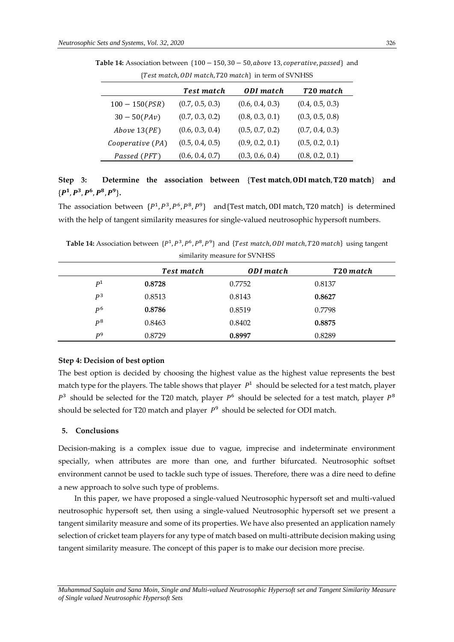|                  | <b>Test match</b> | <b>ODI</b> match | T20 match       |
|------------------|-------------------|------------------|-----------------|
| $100 - 150(PSR)$ | (0.7, 0.5, 0.3)   | (0.6, 0.4, 0.3)  | (0.4, 0.5, 0.3) |
| $30 - 50(PAv)$   | (0.7, 0.3, 0.2)   | (0.8, 0.3, 0.1)  | (0.3, 0.5, 0.8) |
| Above $13(PE)$   | (0.6, 0.3, 0.4)   | (0.5, 0.7, 0.2)  | (0.7, 0.4, 0.3) |
| Cooperative (PA) | (0.5, 0.4, 0.5)   | (0.9, 0.2, 0.1)  | (0.5, 0.2, 0.1) |
| Passed (PFT)     | (0.6, 0.4, 0.7)   | (0.3, 0.6, 0.4)  | (0.8, 0.2, 0.1) |

Table 14: Association between {100 − 150, 30 − 50, *above* 13, *coperative*, passed} and  ${Test match. 0DI match. 720 match}$  in term of SVNHSS

# Step 3: Determine the association between {Test match, 0DI match, T20 match} and  $\{P^1, P^3, P^6, P^8, P^9\}.$

The association between  $\{P^1, P^3, P^6, P^8, P^9\}$  and {Test match, 0DI match, T20 match} is determined with the help of tangent similarity measures for single-valued neutrosophic hypersoft numbers.

**Table 14:** Association between  $\{P^1, P^3, P^6, P^8, P^9\}$  and  $\{Test match, ODI match, T20 match\}$  using tangent similarity measure for SVNHSS

|                | Test match | ODI match | T20 match |
|----------------|------------|-----------|-----------|
| D <sup>1</sup> | 0.8728     | 0.7752    | 0.8137    |
| $D^3$          | 0.8513     | 0.8143    | 0.8627    |
| D <sub>6</sub> | 0.8786     | 0.8519    | 0.7798    |
| $D^8$          | 0.8463     | 0.8402    | 0.8875    |
| D <sup>9</sup> | 0.8729     | 0.8997    | 0.8289    |

#### **Step 4: Decision of best option**

The best option is decided by choosing the highest value as the highest value represents the best match type for the players. The table shows that player  $P<sup>1</sup>$  should be selected for a test match, player  $P<sup>3</sup>$  should be selected for the T20 match, player  $P<sup>6</sup>$  should be selected for a test match, player  $P<sup>8</sup>$ should be selected for T20 match and player  $P^9$  should be selected for ODI match.

#### **5. Conclusions**

Decision-making is a complex issue due to vague, imprecise and indeterminate environment specially, when attributes are more than one, and further bifurcated. Neutrosophic softset environment cannot be used to tackle such type of issues. Therefore, there was a dire need to define a new approach to solve such type of problems.

In this paper, we have proposed a single-valued Neutrosophic hypersoft set and multi-valued neutrosophic hypersoft set, then using a single-valued Neutrosophic hypersoft set we present a tangent similarity measure and some of its properties. We have also presented an application namely selection of cricket team players for any type of match based on multi-attribute decision making using tangent similarity measure. The concept of this paper is to make our decision more precise.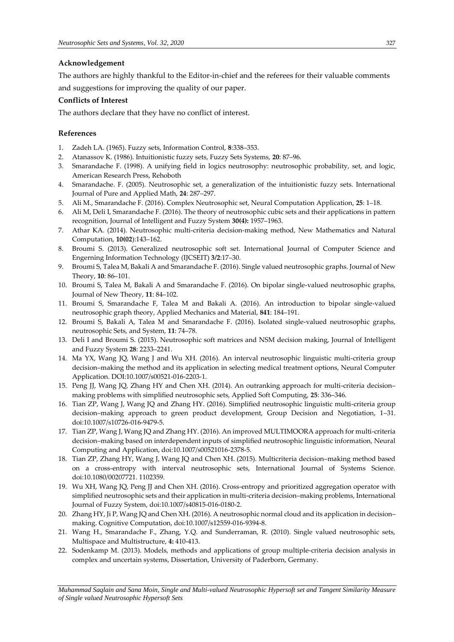# **Acknowledgement**

The authors are highly thankful to the Editor-in-chief and the referees for their valuable comments and suggestions for improving the quality of our paper.

# **Conflicts of Interest**

The authors declare that they have no conflict of interest.

# **References**

- 1. Zadeh LA. (1965). Fuzzy sets, Information Control, **8**:338–353.
- 2. Atanassov K. (1986). Intuitionistic fuzzy sets, Fuzzy Sets Systems, **20**: 87–96.
- 3. Smarandache F. (1998). A unifying field in logics neutrosophy: neutrosophic probability, set, and logic, American Research Press, Rehoboth
- 4. Smarandache. F. (2005). Neutrosophic set, a generalization of the intuitionistic fuzzy sets. International Journal of Pure and Applied Math, **24**: 287–297.
- 5. Ali M., Smarandache F. (2016). Complex Neutrosophic set, Neural Computation Application, **25**: 1–18.
- 6. Ali M, Deli I, Smarandache F. (2016). The theory of neutrosophic cubic sets and their applications in pattern recognition, Journal of Intelligent and Fuzzy System **30(4):** 1957–1963.
- 7. Athar KA. (2014). Neutrosophic multi-criteria decision-making method, New Mathematics and Natural Computation, **10(02**):143–162.
- 8. Broumi S. (2013). Generalized neutrosophic soft set. International Journal of Computer Science and Engerning Information Technology (IJCSEIT) **3/2**:17–30.
- 9. Broumi S, Talea M, Bakali A and Smarandache F. (2016). Single valued neutrosophic graphs. Journal of New Theory, **10**: 86–101.
- 10. Broumi S, Talea M, Bakali A and Smarandache F. (2016). On bipolar single-valued neutrosophic graphs, Journal of New Theory, **11**: 84–102.
- 11. Broumi S, Smarandache F, Talea M and Bakali A. (2016). An introduction to bipolar single-valued neutrosophic graph theory, Applied Mechanics and Material, **841**: 184–191.
- 12. Broumi S, Bakali A, Talea M and Smarandache F. (2016). Isolated single-valued neutrosophic graphs, neutrosophic Sets, and System, **11**: 74–78.
- 13. Deli I and Broumi S. (2015). Neutrosophic soft matrices and NSM decision making, Journal of Intelligent and Fuzzy System **28**: 2233–2241.
- 14. Ma YX, Wang JQ, Wang J and Wu XH. (2016). An interval neutrosophic linguistic multi-criteria group decision–making the method and its application in selecting medical treatment options, Neural Computer Application. DOI:10.1007/s00521-016-2203-1.
- 15. Peng JJ, Wang JQ, Zhang HY and Chen XH. (2014). An outranking approach for multi-criteria decision– making problems with simplified neutrosophic sets, Applied Soft Computing, **25**: 336–346.
- 16. Tian ZP, Wang J, Wang JQ and Zhang HY. (2016). Simplified neutrosophic linguistic multi-criteria group decision–making approach to green product development, Group Decision and Negotiation, 1–31. doi:10.1007/s10726-016-9479-5.
- 17. Tian ZP, Wang J, Wang JQ and Zhang HY. (2016). An improved MULTIMOORA approach for multi-criteria decision–making based on interdependent inputs of simplified neutrosophic linguistic information, Neural Computing and Application, doi:10.1007/s00521016-2378-5.
- 18. Tian ZP, Zhang HY, Wang J, Wang JQ and Chen XH. (2015). Multicriteria decision–making method based on a cross-entropy with interval neutrosophic sets, International Journal of Systems Science. doi:10.1080/00207721. 1102359.
- 19. Wu XH, Wang JQ, Peng JJ and Chen XH. (2016). Cross-entropy and prioritized aggregation operator with simplified neutrosophic sets and their application in multi-criteria decision–making problems, International Journal of Fuzzy System, doi:10.1007/s40815-016-0180-2.
- 20. Zhang HY, Ji P, Wang JQ and Chen XH. (2016). A neutrosophic normal cloud and its application in decision– making. Cognitive Computation, doi:10.1007/s12559-016-9394-8.
- 21. Wang H., Smarandache F., Zhang, Y.Q. and Sunderraman, R. (2010). Single valued neutrosophic sets, Multispace and Multistructure, **4:** 410-413.
- 22. Sodenkamp M. (2013). Models, methods and applications of group multiple-criteria decision analysis in complex and uncertain systems, Dissertation, University of Paderborn, Germany.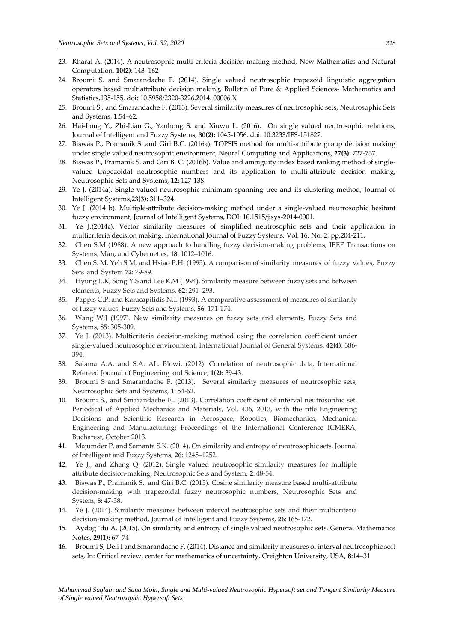- 23. Kharal A. (2014). A neutrosophic multi-criteria decision-making method, New Mathematics and Natural Computation, **10(2)**: 143–162
- 24. Broumi S. and Smarandache F. (2014). Single valued neutrosophic trapezoid linguistic aggregation operators based multiattribute decision making, Bulletin of Pure & Applied Sciences- Mathematics and Statistics,135-155. doi: 10.5958/2320-3226.2014. 00006.X
- 25. Broumi S., and Smarandache F. (2013). Several similarity measures of neutrosophic sets, Neutrosophic Sets and Systems, **1**:54–62.
- 26. Hai-Long Y., Zhi-Lian G., Yanhong S. and Xiuwu L. (2016). On single valued neutrosophic relations, Journal of Intelligent and Fuzzy Systems, **30(2):** 1045-1056. doi: 10.3233/IFS-151827.
- 27. Biswas P., Pramanik S. and Giri B.C. (2016a). TOPSIS method for multi-attribute group decision making under single valued neutrosophic environment, Neural Computing and Applications, **27(3)**: 727-737.
- 28. Biswas P., Pramanik S. and Giri B. C. (2016b). Value and ambiguity index based ranking method of singlevalued trapezoidal neutrosophic numbers and its application to multi-attribute decision making, Neutrosophic Sets and Systems, **12**: 127-138.
- 29. Ye J. (2014a). Single valued neutrosophic minimum spanning tree and its clustering method, Journal of Intelligent Systems,**23(3):** 311–324.
- 30. Ye J. (2014 b). Multiple-attribute decision-making method under a single-valued neutrosophic hesitant fuzzy environment, Journal of Intelligent Systems, DOI: 10.1515/jisys-2014-0001.
- 31. Ye J.(2014c). Vector similarity measures of simplified neutrosophic sets and their application in multicriteria decision making, International Journal of Fuzzy Systems, Vol. 16, No. 2, pp.204-211.
- 32. Chen S.M (1988). A new approach to handling fuzzy decision-making problems, IEEE Transactions on Systems, Man, and Cybernetics, **18**: 1012–1016.
- 33. Chen S. M, Yeh S.M, and Hsiao P.H. (1995). A comparison of similarity measures of fuzzy values, Fuzzy Sets and System **72**: 79-89.
- 34. Hyung L.K, Song Y.S and Lee K.M (1994). Similarity measure between fuzzy sets and between elements, Fuzzy Sets and Systems, **62**: 291–293.
- 35. Pappis C.P. and Karacapilidis N.I. (1993). A comparative assessment of measures of similarity of fuzzy values, Fuzzy Sets and Systems, **56**: 171-174.
- 36. Wang W.J (1997). New similarity measures on fuzzy sets and elements, Fuzzy Sets and Systems, **85**: 305-309.
- 37. Ye J. (2013). Multicriteria decision-making method using the correlation coefficient under single-valued neutrosophic environment, International Journal of General Systems, **42(4)**: 386- 394.
- 38. Salama A.A. and S.A. AL. Blowi. (2012). Correlation of neutrosophic data, International Refereed Journal of Engineering and Science, **1(2):** 39-43.
- 39. Broumi S and Smarandache F. (2013). Several similarity measures of neutrosophic sets, Neutrosophic Sets and Systems, **1**: 54-62.
- 40. Broumi S., and Smarandache F,. (2013). Correlation coefficient of interval neutrosophic set. Periodical of Applied Mechanics and Materials, Vol. 436, 2013, with the title Engineering Decisions and Scientific Research in Aerospace, Robotics, Biomechanics, Mechanical Engineering and Manufacturing; Proceedings of the International Conference ICMERA, Bucharest, October 2013.
- 41. Majumder P, and Samanta S.K. (2014). On similarity and entropy of neutrosophic sets, Journal of Intelligent and Fuzzy Systems, **26**: 1245–1252.
- 42. Ye J., and Zhang Q. (2012). Single valued neutrosophic similarity measures for multiple attribute decision-making, Neutrosophic Sets and System, **2**: 48-54.
- 43. Biswas P., Pramanik S., and Giri B.C. (2015). Cosine similarity measure based multi-attribute decision-making with trapezoidal fuzzy neutrosophic numbers, Neutrosophic Sets and System, **8:** 47-58.
- 44. Ye J. (2014). Similarity measures between interval neutrosophic sets and their multicriteria decision-making method, Journal of Intelligent and Fuzzy Systems, **26**: 165-172.
- 45. Aydog ˘du A. (2015). On similarity and entropy of single valued neutrosophic sets. General Mathematics Notes, **29(1):** 67–74
- 46. Broumi S, Deli I and Smarandache F. (2014). Distance and similarity measures of interval neutrosophic soft sets, In: Critical review, center for mathematics of uncertainty, Creighton University, USA, **8**:14–31